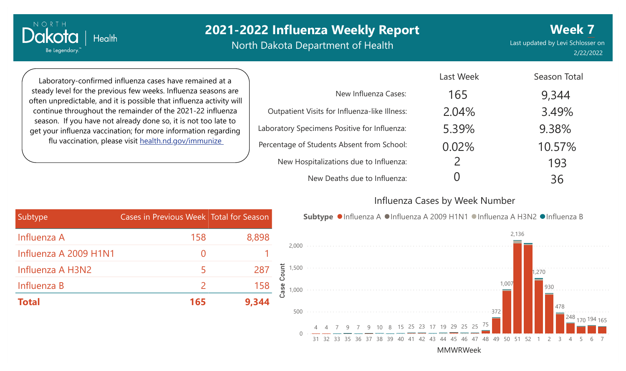North Dakota Department of Health

Last updated by Levi Schlosser on 2/22/2022 **Week 7**

Laboratory-confirmed influenza cases have remained at a steady level for the previous few weeks. Influenza seasons are often unpredictable, and it is possible that influenza activity will continue throughout the remainder of the 2021-22 influenza season. If you have not already done so, it is not too late to get your influenza vaccination; for more information regarding flu vaccination, please visit [health.nd.gov/immunize](http://health.nd.gov/immunize)

**Health** 

NORTH

Dakota

Be Legendary.

|                                               | Last Week     | Season Total |
|-----------------------------------------------|---------------|--------------|
| New Influenza Cases:                          | 165           | 9,344        |
| Outpatient Visits for Influenza-like Illness: | 2.04%         | 3.49%        |
| Laboratory Specimens Positive for Influenza:  | 5.39%         | 9.38%        |
| Percentage of Students Absent from School:    | 0.02%         | 10.57%       |
| New Hospitalizations due to Influenza:        | $\mathcal{P}$ | 193          |
| New Deaths due to Influenza:                  |               | 36           |

#### Influenza Cases by Week Number

| Subtype               | Cases in Previous Week Total for Season |       | Sul                       |
|-----------------------|-----------------------------------------|-------|---------------------------|
| Influenza A           | 158                                     | 8,898 |                           |
| Influenza A 2009 H1N1 |                                         |       | 2,000                     |
| Influenza A H3N2      |                                         |       | $287$ $\frac{1}{8}$ 1,500 |
| Influenza B           |                                         | 158   | ase.<br>1,000             |
| <b>Total</b>          | 165                                     | 9,344 |                           |



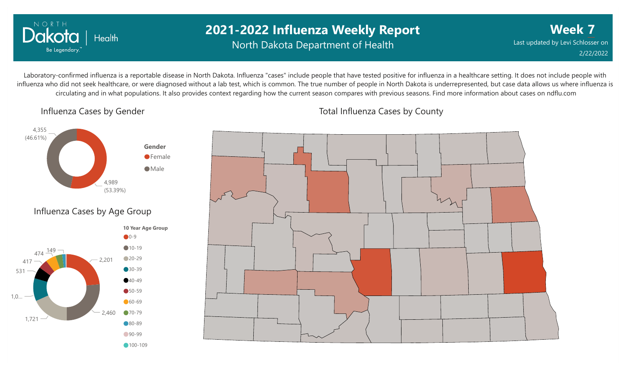

## **2021-2022 Influenza Weekly Report** North Dakota Department of Health

**Week 7** Last updated by Levi Schlosser on 2/22/2022

Laboratory-confirmed influenza is a reportable disease in North Dakota. Influenza "cases" include people that have tested positive for influenza in a healthcare setting. It does not include people with influenza who did not seek healthcare, or were diagnosed without a lab test, which is common. The true number of people in North Dakota is underrepresented, but case data allows us where influenza is circulating and in what populations. It also provides context regarding how the current season compares with previous seasons. Find more information about cases on ndflu.com

Influenza Cases by Gender





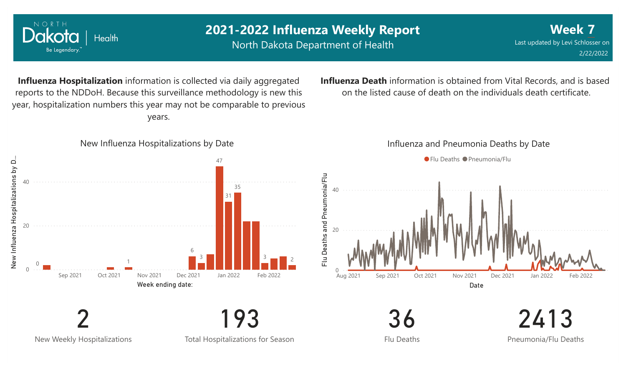

New Weekly Hospitalizations

NORTH

Total Hospitalizations for Season

Flu Deaths

2413 Pneumonia/Flu Deaths

**Week 7**

2/22/2022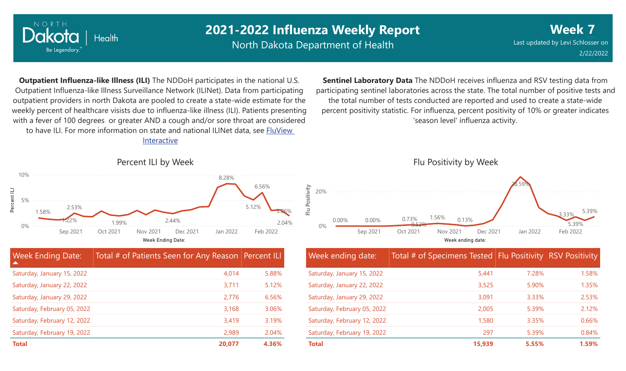

North Dakota Department of Health

2.04%

**Week 7** Last updated by Levi Schlosser on 2/22/2022

**Outpatient Influenza-like Illness (ILI)** The NDDoH participates in the national U.S. Outpatient Influenza-like Illness Surveillance Network (ILINet). Data from participating outpatient providers in north Dakota are pooled to create a state-wide estimate for the weekly percent of healthcare visists due to influenza-like illness (ILI). Patients presenting with a fever of 100 degrees or greater AND a cough and/or sore throat are considered to have ILI. For more information [on state and national ILINet data, see FluView](http://fluview%20interactive/)

Interactive



**Total 20,077 4.36%**

**Sentinel Laboratory Data** The NDDoH receives influenza and RSV testing data from participating sentinel laboratories across the state. The total number of positive tests and the total number of tests conducted are reported and used to create a state-wide percent positivity statistic. For influenza, percent positivity of 10% or greater indicates 'season level' influenza activity.



| Week ending date:           | Total # of Specimens Tested Flu Positivity RSV Positivity |       |       |
|-----------------------------|-----------------------------------------------------------|-------|-------|
| Saturday, January 15, 2022  | 5,441                                                     | 7.28% | 1.58% |
| Saturday, January 22, 2022  | 3,525                                                     | 5.90% | 1.35% |
| Saturday, January 29, 2022  | 3,091                                                     | 3.33% | 2.53% |
| Saturday, February 05, 2022 | 2,005                                                     | 5.39% | 2.12% |
| Saturday, February 12, 2022 | 1,580                                                     | 3.35% | 0.66% |
| Saturday, February 19, 2022 | 297                                                       | 5.39% | 0.84% |
| <b>Total</b>                | 15.939                                                    | 5.55% | 1.59% |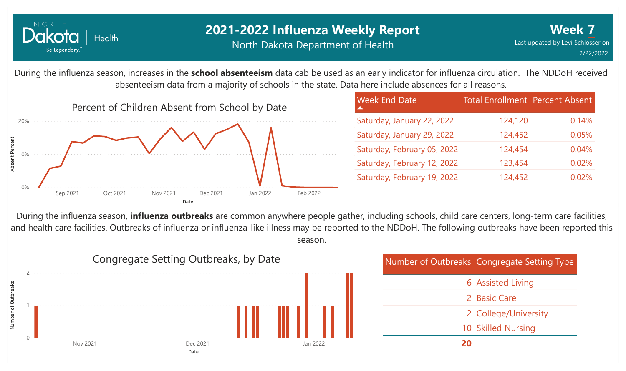

During the influenza season, increases in the **school absenteeism** data cab be used as an early indicator for influenza circulation. The NDDoH received absenteeism data from a majority of schools in the state. Data here include absences for all reasons.



| <b>Week End Date</b>        | <b>Total Enrollment Percent Absent</b> |       |
|-----------------------------|----------------------------------------|-------|
| Saturday, January 22, 2022  | 124,120                                | 0.14% |
| Saturday, January 29, 2022  | 124,452                                | 0.05% |
| Saturday, February 05, 2022 | 124,454                                | 0.04% |
| Saturday, February 12, 2022 | 123,454                                | 0.02% |
| Saturday, February 19, 2022 | 124,452                                | 0.02% |

During the influenza season, **influenza outbreaks** are common anywhere people gather, including schools, child care centers, long-term care facilities, and health care facilities. Outbreaks of influenza or influenza-like illness may be reported to the NDDoH. The following outbreaks have been reported this season.



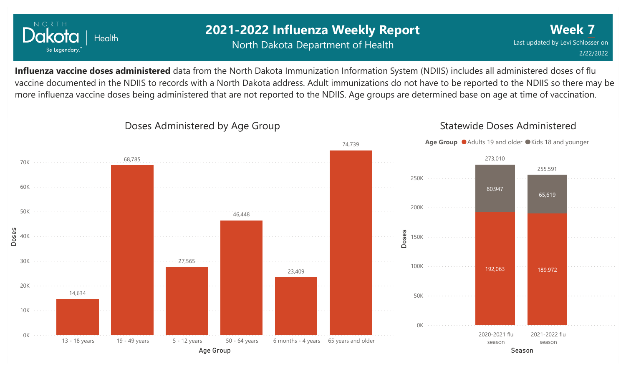

## **2021-2022 Influenza Weekly Report** North Dakota Department of Health

**Week 7** Last updated by Levi Schlosser on 2/22/2022

Statewide Doses Administered

**Influenza vaccine doses administered** data from the North Dakota Immunization Information System (NDIIS) includes all administered doses of flu vaccine documented in the NDIIS to records with a North Dakota address. Adult immunizations do not have to be reported to the NDIIS so there may be more influenza vaccine doses being administered that are not reported to the NDIIS. Age groups are determined base on age at time of vaccination.



Doses Administered by Age Group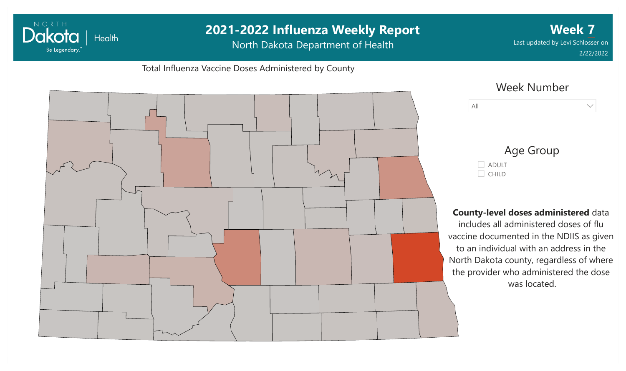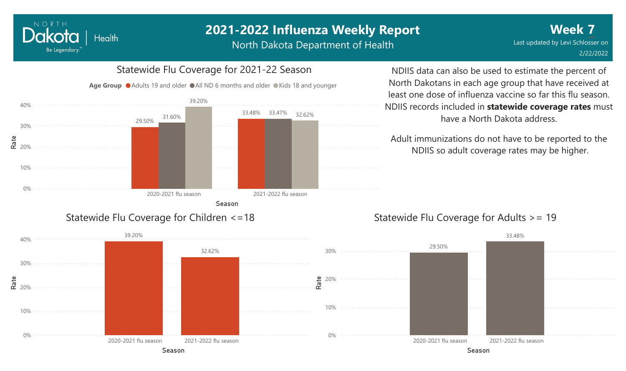North Dakota Department of Health

#### 0% 10% **e**<br>**ድ** 20% 30% 40% Season 2020-2021 flu season 2021-2022 flu season 29.50% 33.48% 33.47% 31.60% 39.20% 32.62% Age Group ● Adults 19 and older ● All ND 6 months and older ● Kids 18 and younger

Statewide Flu Coverage for Children <=18

NORTH

Dakota

Be Legendary.

Health

Statewide Flu Coverage for 2021-22 Season

### NDIIS data can also be used to estimate the percent of North Dakotans in each age group that have received at least one dose of influenza vaccine so far this flu season. NDIIS records included in **statewide coverage rates** must have a North Dakota address.

Adult immunizations do not have to be reported to the NDIIS so adult coverage rates may be higher.

### Statewide Flu Coverage for Adults >= 19